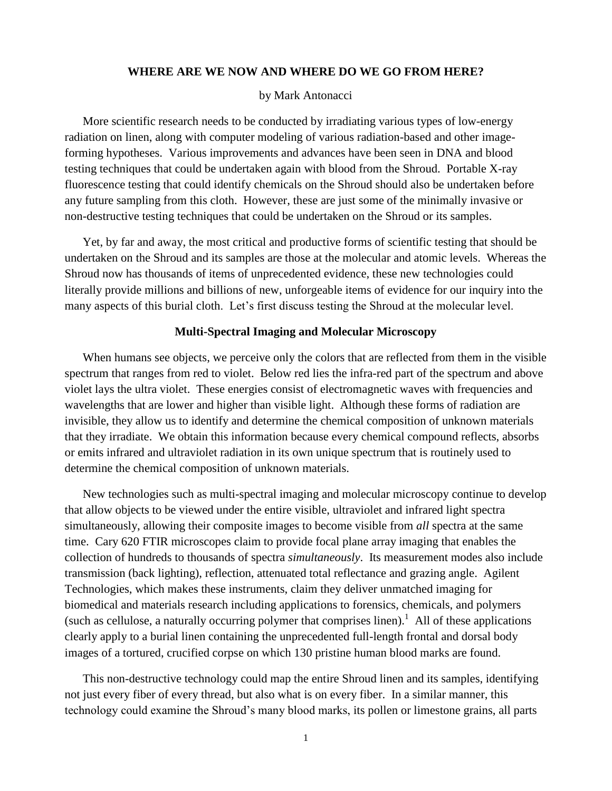#### **WHERE ARE WE NOW AND WHERE DO WE GO FROM HERE?**

### by Mark Antonacci

More scientific research needs to be conducted by irradiating various types of low-energy radiation on linen, along with computer modeling of various radiation-based and other imageforming hypotheses. Various improvements and advances have been seen in DNA and blood testing techniques that could be undertaken again with blood from the Shroud. Portable X-ray fluorescence testing that could identify chemicals on the Shroud should also be undertaken before any future sampling from this cloth. However, these are just some of the minimally invasive or non-destructive testing techniques that could be undertaken on the Shroud or its samples.

Yet, by far and away, the most critical and productive forms of scientific testing that should be undertaken on the Shroud and its samples are those at the molecular and atomic levels. Whereas the Shroud now has thousands of items of unprecedented evidence, these new technologies could literally provide millions and billions of new, unforgeable items of evidence for our inquiry into the many aspects of this burial cloth. Let's first discuss testing the Shroud at the molecular level.

#### **Multi-Spectral Imaging and Molecular Microscopy**

When humans see objects, we perceive only the colors that are reflected from them in the visible spectrum that ranges from red to violet. Below red lies the infra-red part of the spectrum and above violet lays the ultra violet. These energies consist of electromagnetic waves with frequencies and wavelengths that are lower and higher than visible light. Although these forms of radiation are invisible, they allow us to identify and determine the chemical composition of unknown materials that they irradiate. We obtain this information because every chemical compound reflects, absorbs or emits infrared and ultraviolet radiation in its own unique spectrum that is routinely used to determine the chemical composition of unknown materials.

New technologies such as multi-spectral imaging and molecular microscopy continue to develop that allow objects to be viewed under the entire visible, ultraviolet and infrared light spectra simultaneously, allowing their composite images to become visible from *all* spectra at the same time. Cary 620 FTIR microscopes claim to provide focal plane array imaging that enables the collection of hundreds to thousands of spectra *simultaneously*. Its measurement modes also include transmission (back lighting), reflection, attenuated total reflectance and grazing angle. Agilent Technologies, which makes these instruments, claim they deliver unmatched imaging for biomedical and materials research including applications to forensics, chemicals, and polymers (such as cellulose, a naturally occurring polymer that comprises linen).<sup>1</sup> All of these applications clearly apply to a burial linen containing the unprecedented full-length frontal and dorsal body images of a tortured, crucified corpse on which 130 pristine human blood marks are found.

This non-destructive technology could map the entire Shroud linen and its samples, identifying not just every fiber of every thread, but also what is on every fiber. In a similar manner, this technology could examine the Shroud's many blood marks, its pollen or limestone grains, all parts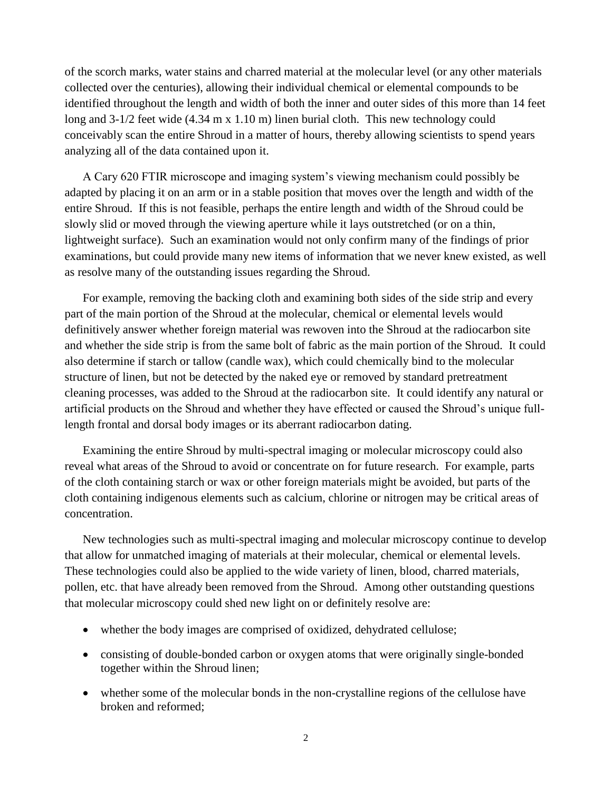of the scorch marks, water stains and charred material at the molecular level (or any other materials collected over the centuries), allowing their individual chemical or elemental compounds to be identified throughout the length and width of both the inner and outer sides of this more than 14 feet long and 3-1/2 feet wide (4.34 m x 1.10 m) linen burial cloth. This new technology could conceivably scan the entire Shroud in a matter of hours, thereby allowing scientists to spend years analyzing all of the data contained upon it.

A Cary 620 FTIR microscope and imaging system's viewing mechanism could possibly be adapted by placing it on an arm or in a stable position that moves over the length and width of the entire Shroud. If this is not feasible, perhaps the entire length and width of the Shroud could be slowly slid or moved through the viewing aperture while it lays outstretched (or on a thin, lightweight surface). Such an examination would not only confirm many of the findings of prior examinations, but could provide many new items of information that we never knew existed, as well as resolve many of the outstanding issues regarding the Shroud.

For example, removing the backing cloth and examining both sides of the side strip and every part of the main portion of the Shroud at the molecular, chemical or elemental levels would definitively answer whether foreign material was rewoven into the Shroud at the radiocarbon site and whether the side strip is from the same bolt of fabric as the main portion of the Shroud. It could also determine if starch or tallow (candle wax), which could chemically bind to the molecular structure of linen, but not be detected by the naked eye or removed by standard pretreatment cleaning processes, was added to the Shroud at the radiocarbon site. It could identify any natural or artificial products on the Shroud and whether they have effected or caused the Shroud's unique fulllength frontal and dorsal body images or its aberrant radiocarbon dating.

Examining the entire Shroud by multi-spectral imaging or molecular microscopy could also reveal what areas of the Shroud to avoid or concentrate on for future research. For example, parts of the cloth containing starch or wax or other foreign materials might be avoided, but parts of the cloth containing indigenous elements such as calcium, chlorine or nitrogen may be critical areas of concentration.

New technologies such as multi-spectral imaging and molecular microscopy continue to develop that allow for unmatched imaging of materials at their molecular, chemical or elemental levels. These technologies could also be applied to the wide variety of linen, blood, charred materials, pollen, etc. that have already been removed from the Shroud. Among other outstanding questions that molecular microscopy could shed new light on or definitely resolve are:

- whether the body images are comprised of oxidized, dehydrated cellulose;
- consisting of double-bonded carbon or oxygen atoms that were originally single-bonded together within the Shroud linen;
- whether some of the molecular bonds in the non-crystalline regions of the cellulose have broken and reformed;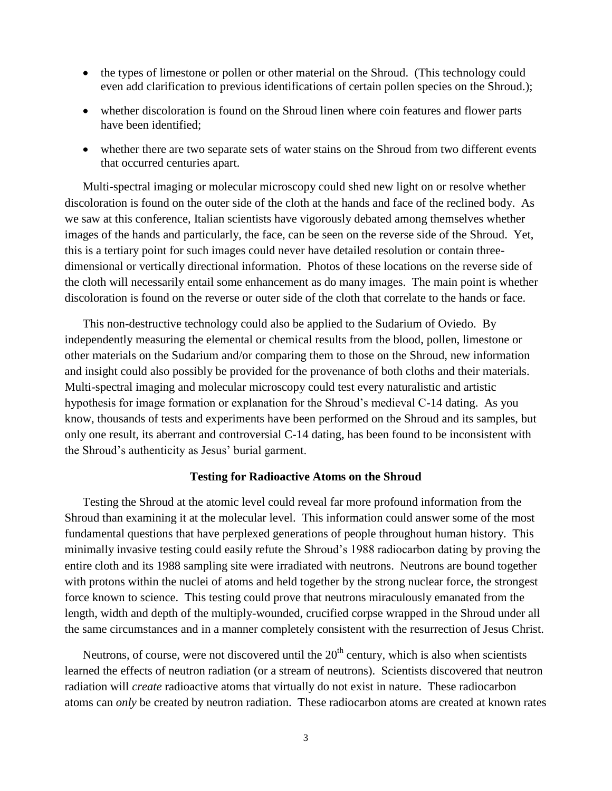- the types of limestone or pollen or other material on the Shroud. (This technology could even add clarification to previous identifications of certain pollen species on the Shroud.);
- whether discoloration is found on the Shroud linen where coin features and flower parts have been identified;
- whether there are two separate sets of water stains on the Shroud from two different events that occurred centuries apart.

Multi-spectral imaging or molecular microscopy could shed new light on or resolve whether discoloration is found on the outer side of the cloth at the hands and face of the reclined body. As we saw at this conference, Italian scientists have vigorously debated among themselves whether images of the hands and particularly, the face, can be seen on the reverse side of the Shroud. Yet, this is a tertiary point for such images could never have detailed resolution or contain threedimensional or vertically directional information. Photos of these locations on the reverse side of the cloth will necessarily entail some enhancement as do many images. The main point is whether discoloration is found on the reverse or outer side of the cloth that correlate to the hands or face.

This non-destructive technology could also be applied to the Sudarium of Oviedo. By independently measuring the elemental or chemical results from the blood, pollen, limestone or other materials on the Sudarium and/or comparing them to those on the Shroud, new information and insight could also possibly be provided for the provenance of both cloths and their materials. Multi-spectral imaging and molecular microscopy could test every naturalistic and artistic hypothesis for image formation or explanation for the Shroud's medieval C-14 dating. As you know, thousands of tests and experiments have been performed on the Shroud and its samples, but only one result, its aberrant and controversial C-14 dating, has been found to be inconsistent with the Shroud's authenticity as Jesus' burial garment.

#### **Testing for Radioactive Atoms on the Shroud**

Testing the Shroud at the atomic level could reveal far more profound information from the Shroud than examining it at the molecular level. This information could answer some of the most fundamental questions that have perplexed generations of people throughout human history. This minimally invasive testing could easily refute the Shroud's 1988 radiocarbon dating by proving the entire cloth and its 1988 sampling site were irradiated with neutrons. Neutrons are bound together with protons within the nuclei of atoms and held together by the strong nuclear force, the strongest force known to science. This testing could prove that neutrons miraculously emanated from the length, width and depth of the multiply-wounded, crucified corpse wrapped in the Shroud under all the same circumstances and in a manner completely consistent with the resurrection of Jesus Christ.

Neutrons, of course, were not discovered until the  $20<sup>th</sup>$  century, which is also when scientists learned the effects of neutron radiation (or a stream of neutrons). Scientists discovered that neutron radiation will *create* radioactive atoms that virtually do not exist in nature. These radiocarbon atoms can *only* be created by neutron radiation. These radiocarbon atoms are created at known rates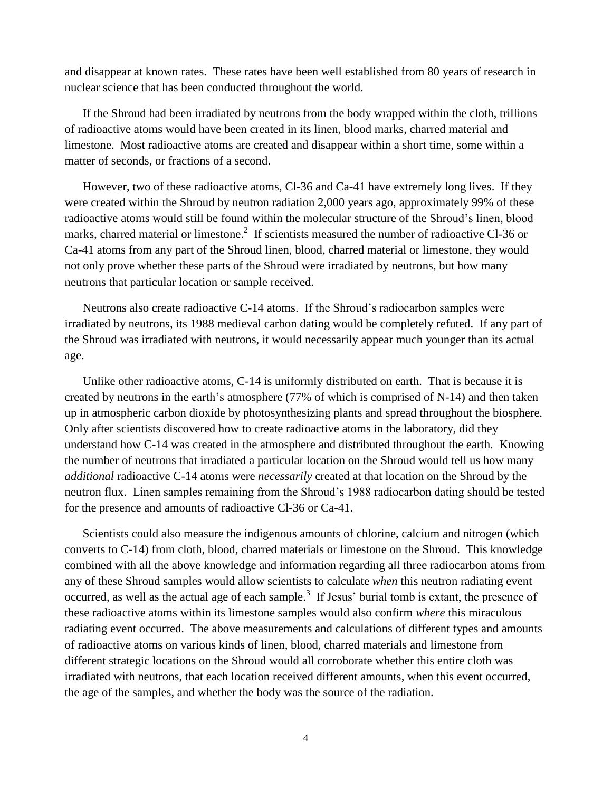and disappear at known rates. These rates have been well established from 80 years of research in nuclear science that has been conducted throughout the world.

If the Shroud had been irradiated by neutrons from the body wrapped within the cloth, trillions of radioactive atoms would have been created in its linen, blood marks, charred material and limestone. Most radioactive atoms are created and disappear within a short time, some within a matter of seconds, or fractions of a second.

However, two of these radioactive atoms, Cl-36 and Ca-41 have extremely long lives. If they were created within the Shroud by neutron radiation 2,000 years ago, approximately 99% of these radioactive atoms would still be found within the molecular structure of the Shroud's linen, blood marks, charred material or limestone.<sup>2</sup> If scientists measured the number of radioactive Cl-36 or Ca-41 atoms from any part of the Shroud linen, blood, charred material or limestone, they would not only prove whether these parts of the Shroud were irradiated by neutrons, but how many neutrons that particular location or sample received.

Neutrons also create radioactive C-14 atoms. If the Shroud's radiocarbon samples were irradiated by neutrons, its 1988 medieval carbon dating would be completely refuted. If any part of the Shroud was irradiated with neutrons, it would necessarily appear much younger than its actual age.

Unlike other radioactive atoms, C-14 is uniformly distributed on earth. That is because it is created by neutrons in the earth's atmosphere (77% of which is comprised of N-14) and then taken up in atmospheric carbon dioxide by photosynthesizing plants and spread throughout the biosphere. Only after scientists discovered how to create radioactive atoms in the laboratory, did they understand how C-14 was created in the atmosphere and distributed throughout the earth. Knowing the number of neutrons that irradiated a particular location on the Shroud would tell us how many *additional* radioactive C-14 atoms were *necessarily* created at that location on the Shroud by the neutron flux. Linen samples remaining from the Shroud's 1988 radiocarbon dating should be tested for the presence and amounts of radioactive Cl-36 or Ca-41.

Scientists could also measure the indigenous amounts of chlorine, calcium and nitrogen (which converts to C-14) from cloth, blood, charred materials or limestone on the Shroud. This knowledge combined with all the above knowledge and information regarding all three radiocarbon atoms from any of these Shroud samples would allow scientists to calculate *when* this neutron radiating event occurred, as well as the actual age of each sample.<sup>3</sup> If Jesus' burial tomb is extant, the presence of these radioactive atoms within its limestone samples would also confirm *where* this miraculous radiating event occurred. The above measurements and calculations of different types and amounts of radioactive atoms on various kinds of linen, blood, charred materials and limestone from different strategic locations on the Shroud would all corroborate whether this entire cloth was irradiated with neutrons, that each location received different amounts, when this event occurred, the age of the samples, and whether the body was the source of the radiation.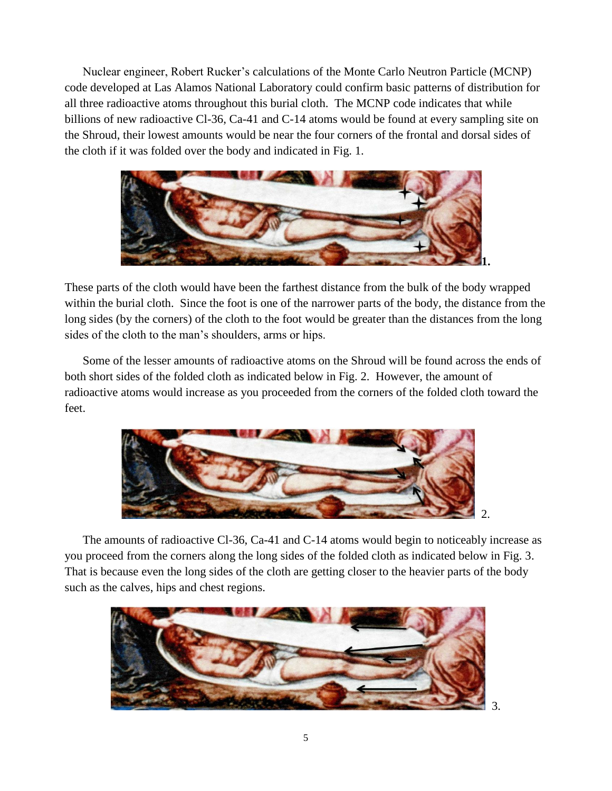Nuclear engineer, Robert Rucker's calculations of the Monte Carlo Neutron Particle (MCNP) code developed at Las Alamos National Laboratory could confirm basic patterns of distribution for all three radioactive atoms throughout this burial cloth. The MCNP code indicates that while billions of new radioactive Cl-36, Ca-41 and C-14 atoms would be found at every sampling site on the Shroud, their lowest amounts would be near the four corners of the frontal and dorsal sides of the cloth if it was folded over the body and indicated in Fig. 1.



These parts of the cloth would have been the farthest distance from the bulk of the body wrapped within the burial cloth. Since the foot is one of the narrower parts of the body, the distance from the long sides (by the corners) of the cloth to the foot would be greater than the distances from the long sides of the cloth to the man's shoulders, arms or hips.

Some of the lesser amounts of radioactive atoms on the Shroud will be found across the ends of both short sides of the folded cloth as indicated below in Fig. 2. However, the amount of radioactive atoms would increase as you proceeded from the corners of the folded cloth toward the feet.



The amounts of radioactive Cl-36, Ca-41 and C-14 atoms would begin to noticeably increase as you proceed from the corners along the long sides of the folded cloth as indicated below in Fig. 3. That is because even the long sides of the cloth are getting closer to the heavier parts of the body such as the calves, hips and chest regions.

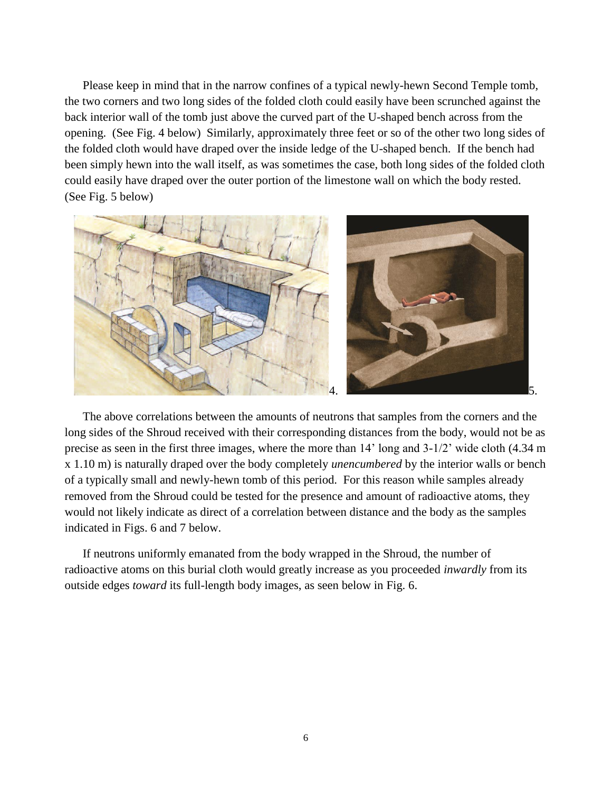Please keep in mind that in the narrow confines of a typical newly-hewn Second Temple tomb, the two corners and two long sides of the folded cloth could easily have been scrunched against the back interior wall of the tomb just above the curved part of the U-shaped bench across from the opening. (See Fig. 4 below) Similarly, approximately three feet or so of the other two long sides of the folded cloth would have draped over the inside ledge of the U-shaped bench. If the bench had been simply hewn into the wall itself, as was sometimes the case, both long sides of the folded cloth could easily have draped over the outer portion of the limestone wall on which the body rested. (See Fig. 5 below)



The above correlations between the amounts of neutrons that samples from the corners and the long sides of the Shroud received with their corresponding distances from the body, would not be as precise as seen in the first three images, where the more than 14' long and 3-1/2' wide cloth (4.34 m x 1.10 m) is naturally draped over the body completely *unencumbered* by the interior walls or bench of a typically small and newly-hewn tomb of this period. For this reason while samples already removed from the Shroud could be tested for the presence and amount of radioactive atoms, they would not likely indicate as direct of a correlation between distance and the body as the samples indicated in Figs. 6 and 7 below.

If neutrons uniformly emanated from the body wrapped in the Shroud, the number of radioactive atoms on this burial cloth would greatly increase as you proceeded *inwardly* from its outside edges *toward* its full-length body images, as seen below in Fig. 6.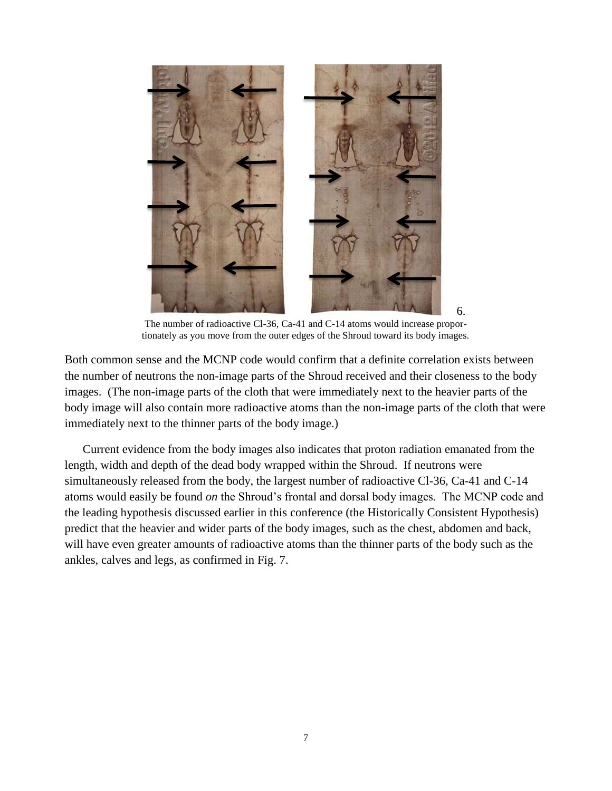

The number of radioactive Cl-36, Ca-41 and C-14 atoms would increase proportionately as you move from the outer edges of the Shroud toward its body images.

Both common sense and the MCNP code would confirm that a definite correlation exists between the number of neutrons the non-image parts of the Shroud received and their closeness to the body images. (The non-image parts of the cloth that were immediately next to the heavier parts of the body image will also contain more radioactive atoms than the non-image parts of the cloth that were immediately next to the thinner parts of the body image.)

Current evidence from the body images also indicates that proton radiation emanated from the length, width and depth of the dead body wrapped within the Shroud. If neutrons were simultaneously released from the body, the largest number of radioactive Cl-36, Ca-41 and C-14 atoms would easily be found *on* the Shroud's frontal and dorsal body images. The MCNP code and the leading hypothesis discussed earlier in this conference (the Historically Consistent Hypothesis) predict that the heavier and wider parts of the body images, such as the chest, abdomen and back, will have even greater amounts of radioactive atoms than the thinner parts of the body such as the ankles, calves and legs, as confirmed in Fig. 7.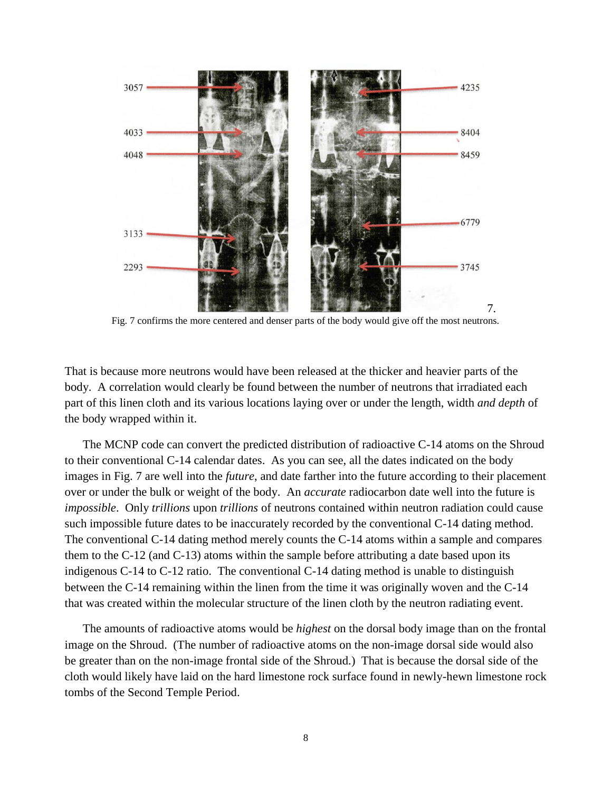

Fig. 7 confirms the more centered and denser parts of the body would give off the most neutrons.

That is because more neutrons would have been released at the thicker and heavier parts of the body. A correlation would clearly be found between the number of neutrons that irradiated each part of this linen cloth and its various locations laying over or under the length, width *and depth* of the body wrapped within it.

The MCNP code can convert the predicted distribution of radioactive C-14 atoms on the Shroud to their conventional C-14 calendar dates. As you can see, all the dates indicated on the body images in Fig. 7 are well into the *future*, and date farther into the future according to their placement over or under the bulk or weight of the body. An *accurate* radiocarbon date well into the future is *impossible*. Only *trillions* upon *trillions* of neutrons contained within neutron radiation could cause such impossible future dates to be inaccurately recorded by the conventional C-14 dating method. The conventional C-14 dating method merely counts the C-14 atoms within a sample and compares them to the C-12 (and C-13) atoms within the sample before attributing a date based upon its indigenous C-14 to C-12 ratio. The conventional C-14 dating method is unable to distinguish between the C-14 remaining within the linen from the time it was originally woven and the C-14 that was created within the molecular structure of the linen cloth by the neutron radiating event.

The amounts of radioactive atoms would be *highest* on the dorsal body image than on the frontal image on the Shroud. (The number of radioactive atoms on the non-image dorsal side would also be greater than on the non-image frontal side of the Shroud.) That is because the dorsal side of the cloth would likely have laid on the hard limestone rock surface found in newly-hewn limestone rock tombs of the Second Temple Period.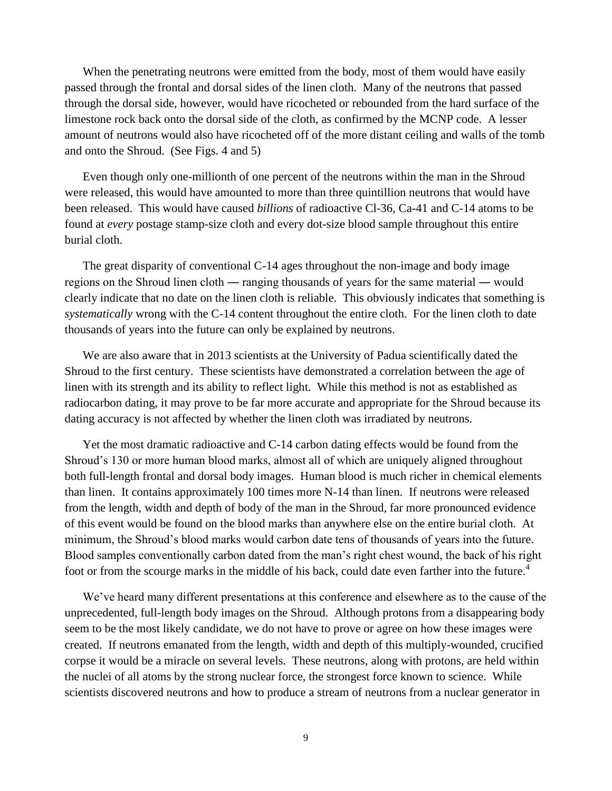When the penetrating neutrons were emitted from the body, most of them would have easily passed through the frontal and dorsal sides of the linen cloth. Many of the neutrons that passed through the dorsal side, however, would have ricocheted or rebounded from the hard surface of the limestone rock back onto the dorsal side of the cloth, as confirmed by the MCNP code. A lesser amount of neutrons would also have ricocheted off of the more distant ceiling and walls of the tomb and onto the Shroud. (See Figs. 4 and 5)

Even though only one-millionth of one percent of the neutrons within the man in the Shroud were released, this would have amounted to more than three quintillion neutrons that would have been released. This would have caused *billions* of radioactive Cl-36, Ca-41 and C-14 atoms to be found at *every* postage stamp-size cloth and every dot-size blood sample throughout this entire burial cloth.

The great disparity of conventional C-14 ages throughout the non-image and body image regions on the Shroud linen cloth ― ranging thousands of years for the same material ― would clearly indicate that no date on the linen cloth is reliable. This obviously indicates that something is *systematically* wrong with the C-14 content throughout the entire cloth. For the linen cloth to date thousands of years into the future can only be explained by neutrons.

We are also aware that in 2013 scientists at the University of Padua scientifically dated the Shroud to the first century. These scientists have demonstrated a correlation between the age of linen with its strength and its ability to reflect light. While this method is not as established as radiocarbon dating, it may prove to be far more accurate and appropriate for the Shroud because its dating accuracy is not affected by whether the linen cloth was irradiated by neutrons.

Yet the most dramatic radioactive and C-14 carbon dating effects would be found from the Shroud's 130 or more human blood marks, almost all of which are uniquely aligned throughout both full-length frontal and dorsal body images. Human blood is much richer in chemical elements than linen. It contains approximately 100 times more N-14 than linen. If neutrons were released from the length, width and depth of body of the man in the Shroud, far more pronounced evidence of this event would be found on the blood marks than anywhere else on the entire burial cloth. At minimum, the Shroud's blood marks would carbon date tens of thousands of years into the future. Blood samples conventionally carbon dated from the man's right chest wound, the back of his right foot or from the scourge marks in the middle of his back, could date even farther into the future.<sup>4</sup>

We've heard many different presentations at this conference and elsewhere as to the cause of the unprecedented, full-length body images on the Shroud. Although protons from a disappearing body seem to be the most likely candidate, we do not have to prove or agree on how these images were created. If neutrons emanated from the length, width and depth of this multiply-wounded, crucified corpse it would be a miracle on several levels. These neutrons, along with protons, are held within the nuclei of all atoms by the strong nuclear force, the strongest force known to science. While scientists discovered neutrons and how to produce a stream of neutrons from a nuclear generator in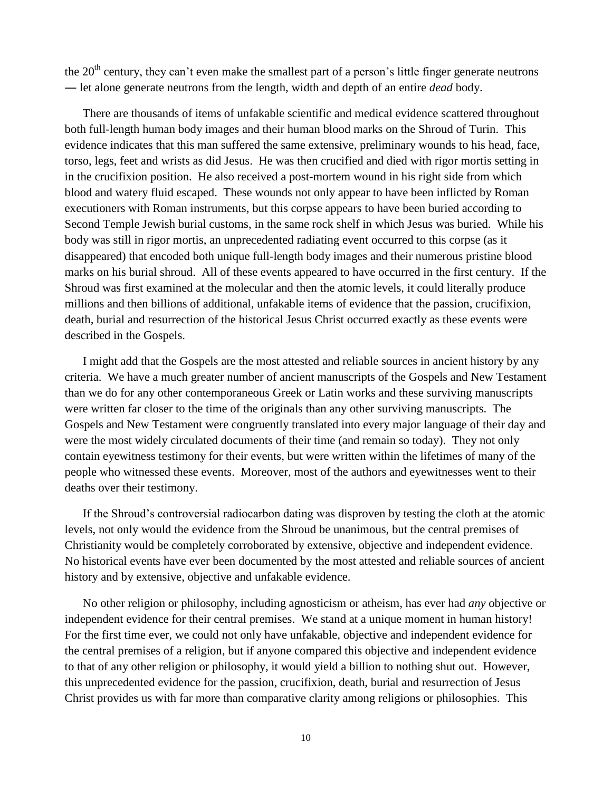the  $20<sup>th</sup>$  century, they can't even make the smallest part of a person's little finger generate neutrons ― let alone generate neutrons from the length, width and depth of an entire *dead* body.

There are thousands of items of unfakable scientific and medical evidence scattered throughout both full-length human body images and their human blood marks on the Shroud of Turin. This evidence indicates that this man suffered the same extensive, preliminary wounds to his head, face, torso, legs, feet and wrists as did Jesus. He was then crucified and died with rigor mortis setting in in the crucifixion position. He also received a post-mortem wound in his right side from which blood and watery fluid escaped. These wounds not only appear to have been inflicted by Roman executioners with Roman instruments, but this corpse appears to have been buried according to Second Temple Jewish burial customs, in the same rock shelf in which Jesus was buried. While his body was still in rigor mortis, an unprecedented radiating event occurred to this corpse (as it disappeared) that encoded both unique full-length body images and their numerous pristine blood marks on his burial shroud. All of these events appeared to have occurred in the first century. If the Shroud was first examined at the molecular and then the atomic levels, it could literally produce millions and then billions of additional, unfakable items of evidence that the passion, crucifixion, death, burial and resurrection of the historical Jesus Christ occurred exactly as these events were described in the Gospels.

I might add that the Gospels are the most attested and reliable sources in ancient history by any criteria. We have a much greater number of ancient manuscripts of the Gospels and New Testament than we do for any other contemporaneous Greek or Latin works and these surviving manuscripts were written far closer to the time of the originals than any other surviving manuscripts. The Gospels and New Testament were congruently translated into every major language of their day and were the most widely circulated documents of their time (and remain so today). They not only contain eyewitness testimony for their events, but were written within the lifetimes of many of the people who witnessed these events. Moreover, most of the authors and eyewitnesses went to their deaths over their testimony.

If the Shroud's controversial radiocarbon dating was disproven by testing the cloth at the atomic levels, not only would the evidence from the Shroud be unanimous, but the central premises of Christianity would be completely corroborated by extensive, objective and independent evidence. No historical events have ever been documented by the most attested and reliable sources of ancient history and by extensive, objective and unfakable evidence.

No other religion or philosophy, including agnosticism or atheism, has ever had *any* objective or independent evidence for their central premises. We stand at a unique moment in human history! For the first time ever, we could not only have unfakable, objective and independent evidence for the central premises of a religion, but if anyone compared this objective and independent evidence to that of any other religion or philosophy, it would yield a billion to nothing shut out. However, this unprecedented evidence for the passion, crucifixion, death, burial and resurrection of Jesus Christ provides us with far more than comparative clarity among religions or philosophies. This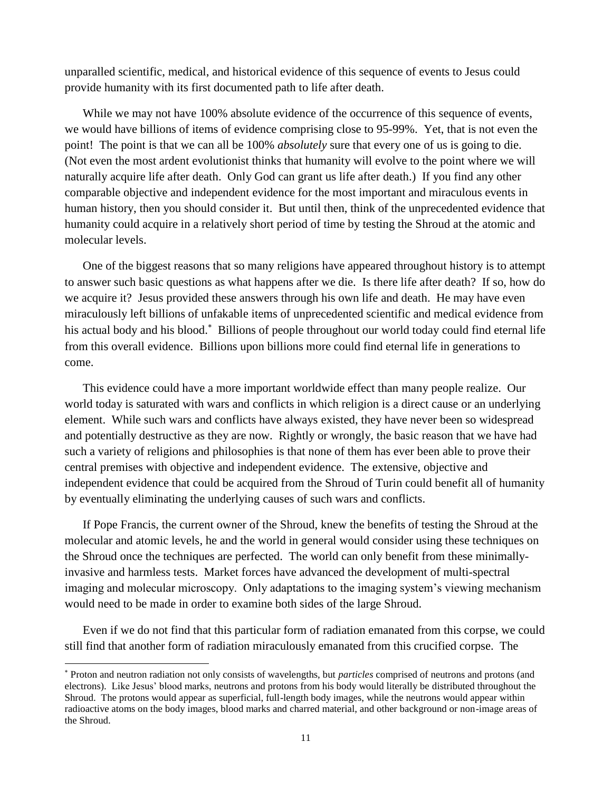unparalled scientific, medical, and historical evidence of this sequence of events to Jesus could provide humanity with its first documented path to life after death.

While we may not have 100% absolute evidence of the occurrence of this sequence of events, we would have billions of items of evidence comprising close to 95-99%. Yet, that is not even the point! The point is that we can all be 100% *absolutely* sure that every one of us is going to die. (Not even the most ardent evolutionist thinks that humanity will evolve to the point where we will naturally acquire life after death. Only God can grant us life after death.) If you find any other comparable objective and independent evidence for the most important and miraculous events in human history, then you should consider it. But until then, think of the unprecedented evidence that humanity could acquire in a relatively short period of time by testing the Shroud at the atomic and molecular levels.

One of the biggest reasons that so many religions have appeared throughout history is to attempt to answer such basic questions as what happens after we die. Is there life after death? If so, how do we acquire it? Jesus provided these answers through his own life and death. He may have even miraculously left billions of unfakable items of unprecedented scientific and medical evidence from his actual body and his blood.<sup>\*</sup> Billions of people throughout our world today could find eternal life from this overall evidence. Billions upon billions more could find eternal life in generations to come.

This evidence could have a more important worldwide effect than many people realize. Our world today is saturated with wars and conflicts in which religion is a direct cause or an underlying element. While such wars and conflicts have always existed, they have never been so widespread and potentially destructive as they are now. Rightly or wrongly, the basic reason that we have had such a variety of religions and philosophies is that none of them has ever been able to prove their central premises with objective and independent evidence. The extensive, objective and independent evidence that could be acquired from the Shroud of Turin could benefit all of humanity by eventually eliminating the underlying causes of such wars and conflicts.

If Pope Francis, the current owner of the Shroud, knew the benefits of testing the Shroud at the molecular and atomic levels, he and the world in general would consider using these techniques on the Shroud once the techniques are perfected. The world can only benefit from these minimallyinvasive and harmless tests. Market forces have advanced the development of multi-spectral imaging and molecular microscopy. Only adaptations to the imaging system's viewing mechanism would need to be made in order to examine both sides of the large Shroud.

Even if we do not find that this particular form of radiation emanated from this corpse, we could still find that another form of radiation miraculously emanated from this crucified corpse. The

l

Proton and neutron radiation not only consists of wavelengths, but *particles* comprised of neutrons and protons (and electrons). Like Jesus' blood marks, neutrons and protons from his body would literally be distributed throughout the Shroud. The protons would appear as superficial, full-length body images, while the neutrons would appear within radioactive atoms on the body images, blood marks and charred material, and other background or non-image areas of the Shroud.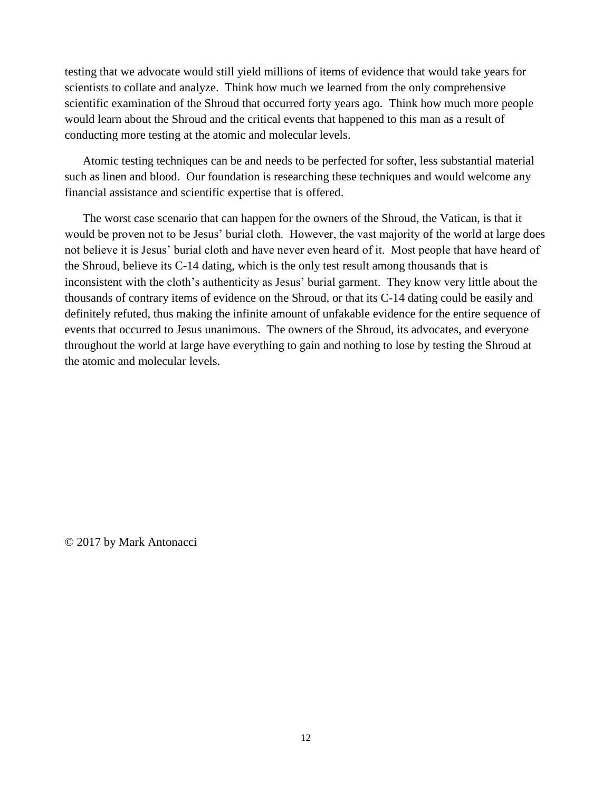testing that we advocate would still yield millions of items of evidence that would take years for scientists to collate and analyze. Think how much we learned from the only comprehensive scientific examination of the Shroud that occurred forty years ago. Think how much more people would learn about the Shroud and the critical events that happened to this man as a result of conducting more testing at the atomic and molecular levels.

Atomic testing techniques can be and needs to be perfected for softer, less substantial material such as linen and blood. Our foundation is researching these techniques and would welcome any financial assistance and scientific expertise that is offered.

The worst case scenario that can happen for the owners of the Shroud, the Vatican, is that it would be proven not to be Jesus' burial cloth. However, the vast majority of the world at large does not believe it is Jesus' burial cloth and have never even heard of it. Most people that have heard of the Shroud, believe its C-14 dating, which is the only test result among thousands that is inconsistent with the cloth's authenticity as Jesus' burial garment. They know very little about the thousands of contrary items of evidence on the Shroud, or that its C-14 dating could be easily and definitely refuted, thus making the infinite amount of unfakable evidence for the entire sequence of events that occurred to Jesus unanimous. The owners of the Shroud, its advocates, and everyone throughout the world at large have everything to gain and nothing to lose by testing the Shroud at the atomic and molecular levels.

© 2017 by Mark Antonacci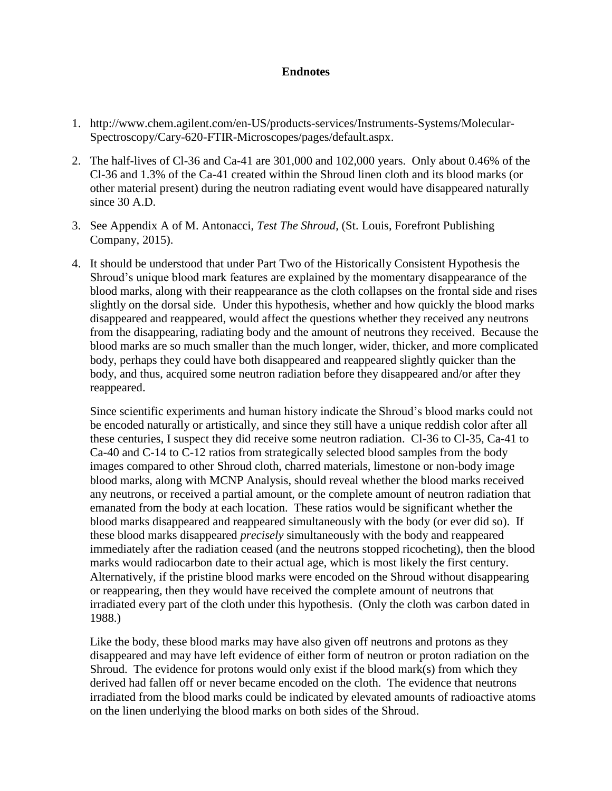## **Endnotes**

- 1. [http://www.chem.agilent.com/en-US/products-services/Instruments-Systems/Molecular-](http://www.chem.agilent.com/en-US/products-services/Instruments-Systems/Molecular-Spectroscopy/Cary-620-FTIR-Microscopes/pages/default.aspx)[Spectroscopy/Cary-620-FTIR-Microscopes/pages/default.aspx.](http://www.chem.agilent.com/en-US/products-services/Instruments-Systems/Molecular-Spectroscopy/Cary-620-FTIR-Microscopes/pages/default.aspx)
- 2. The half-lives of Cl-36 and Ca-41 are 301,000 and 102,000 years. Only about 0.46% of the Cl-36 and 1.3% of the Ca-41 created within the Shroud linen cloth and its blood marks (or other material present) during the neutron radiating event would have disappeared naturally since 30 A.D.
- 3. See Appendix A of M. Antonacci, *Test The Shroud*, (St. Louis, Forefront Publishing Company, 2015).
- 4. It should be understood that under Part Two of the Historically Consistent Hypothesis the Shroud's unique blood mark features are explained by the momentary disappearance of the blood marks, along with their reappearance as the cloth collapses on the frontal side and rises slightly on the dorsal side. Under this hypothesis, whether and how quickly the blood marks disappeared and reappeared, would affect the questions whether they received any neutrons from the disappearing, radiating body and the amount of neutrons they received. Because the blood marks are so much smaller than the much longer, wider, thicker, and more complicated body, perhaps they could have both disappeared and reappeared slightly quicker than the body, and thus, acquired some neutron radiation before they disappeared and/or after they reappeared.

Since scientific experiments and human history indicate the Shroud's blood marks could not be encoded naturally or artistically, and since they still have a unique reddish color after all these centuries, I suspect they did receive some neutron radiation. Cl-36 to Cl-35, Ca-41 to Ca-40 and C-14 to C-12 ratios from strategically selected blood samples from the body images compared to other Shroud cloth, charred materials, limestone or non-body image blood marks, along with MCNP Analysis, should reveal whether the blood marks received any neutrons, or received a partial amount, or the complete amount of neutron radiation that emanated from the body at each location. These ratios would be significant whether the blood marks disappeared and reappeared simultaneously with the body (or ever did so). If these blood marks disappeared *precisely* simultaneously with the body and reappeared immediately after the radiation ceased (and the neutrons stopped ricocheting), then the blood marks would radiocarbon date to their actual age, which is most likely the first century. Alternatively, if the pristine blood marks were encoded on the Shroud without disappearing or reappearing, then they would have received the complete amount of neutrons that irradiated every part of the cloth under this hypothesis. (Only the cloth was carbon dated in 1988.)

Like the body, these blood marks may have also given off neutrons and protons as they disappeared and may have left evidence of either form of neutron or proton radiation on the Shroud. The evidence for protons would only exist if the blood mark(s) from which they derived had fallen off or never became encoded on the cloth. The evidence that neutrons irradiated from the blood marks could be indicated by elevated amounts of radioactive atoms on the linen underlying the blood marks on both sides of the Shroud.